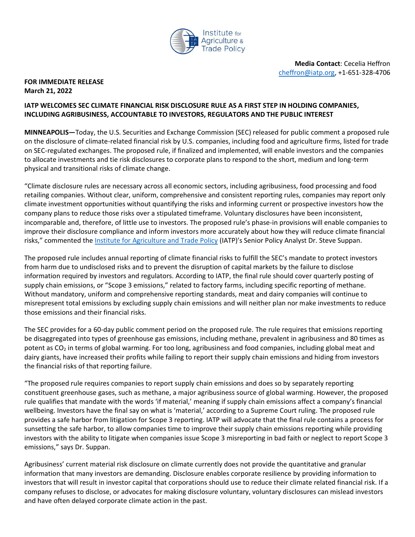

 **Media Contact**: Cecelia Heffron [cheffron@iatp.org,](mailto:cheffron@iatp.org) +1-651-328-4706

## **FOR IMMEDIATE RELEASE March 21, 2022**

## **IATP WELCOMES SEC CLIMATE FINANCIAL RISK DISCLOSURE RULE AS A FIRST STEP IN HOLDING COMPANIES, INCLUDING AGRIBUSINESS, ACCOUNTABLE TO INVESTORS, REGULATORS AND THE PUBLIC INTEREST**

**MINNEAPOLIS—**Today, the U.S. Securities and Exchange Commission (SEC) released for public comment a proposed rule on the disclosure of climate-related financial risk by U.S. companies, including food and agriculture firms, listed for trade on SEC-regulated exchanges. The proposed rule, if finalized and implemented, will enable investors and the companies to allocate investments and tie risk disclosures to corporate plans to respond to the short, medium and long-term physical and transitional risks of climate change.

"Climate disclosure rules are necessary across all economic sectors, including agribusiness, food processing and food retailing companies. Without clear, uniform, comprehensive and consistent reporting rules, companies may report only climate investment opportunities without quantifying the risks and informing current or prospective investors how the company plans to reduce those risks over a stipulated timeframe. Voluntary disclosures have been inconsistent, incomparable and, therefore, of little use to investors. The proposed rule's phase-in provisions will enable companies to improve their disclosure compliance and inform investors more accurately about how they will reduce climate financial risks," commented the *Institute for Agriculture and Trade Policy* (IATP)'s Senior Policy Analyst Dr. Steve Suppan.

The proposed rule includes annual reporting of climate financial risks to fulfill the SEC's mandate to protect investors from harm due to undisclosed risks and to prevent the disruption of capital markets by the failure to disclose information required by investors and regulators. According to IATP, the final rule should cover quarterly posting of supply chain emissions, or "Scope 3 emissions," related to factory farms, including specific reporting of methane. Without mandatory, uniform and comprehensive reporting standards, meat and dairy companies will continue to misrepresent total emissions by excluding supply chain emissions and will neither plan nor make investments to reduce those emissions and their financial risks.

The SEC provides for a 60-day public comment period on the proposed rule. The rule requires that emissions reporting be disaggregated into types of greenhouse gas emissions, including methane, prevalent in agribusiness and 80 times as potent as CO<sub>2</sub> in terms of global warming. For too long, agribusiness and food companies, including global meat and dairy giants, have increased their profits while failing to report their supply chain emissions and hiding from investors the financial risks of that reporting failure.

"The proposed rule requires companies to report supply chain emissions and does so by separately reporting constituent greenhouse gases, such as methane, a major agribusiness source of global warming. However, the proposed rule qualifies that mandate with the words 'if material,' meaning if supply chain emissions affect a company's financial wellbeing. Investors have the final say on what is 'material,' according to a Supreme Court ruling. The proposed rule provides a safe harbor from litigation for Scope 3 reporting. IATP will advocate that the final rule contains a process for sunsetting the safe harbor, to allow companies time to improve their supply chain emissions reporting while providing investors with the ability to litigate when companies issue Scope 3 misreporting in bad faith or neglect to report Scope 3 emissions," says Dr. Suppan.

Agribusiness' current material risk disclosure on climate currently does not provide the quantitative and granular information that many investors are demanding. Disclosure enables corporate resilience by providing information to investors that will result in investor capital that corporations should use to reduce their climate related financial risk. If a company refuses to disclose, or advocates for making disclosure voluntary, voluntary disclosures can mislead investors and have often delayed corporate climate action in the past.